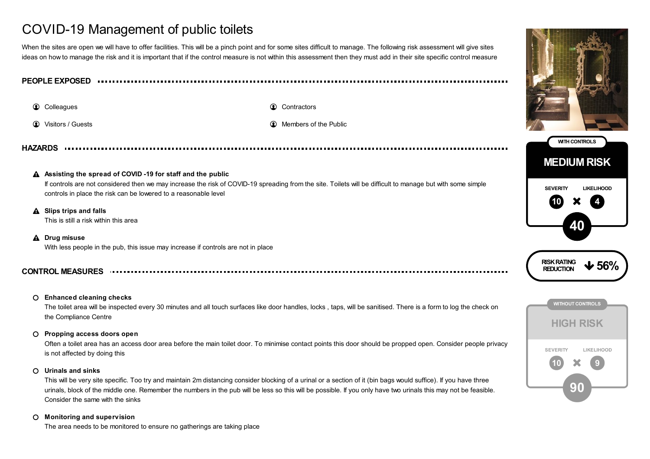# COVID-19 Management of public toilets

When the sites are open we will have to offer facilities. This will be a pinch point and for some sites difficult to manage. The following risk assessment will give sites ideas on how to manage the risk and it is important that if the control measure is not within this assessment then they must add in their site specific control measure

**PEOPLE EXPOSED**

**Colleagues Contractors Contractors Contractors** 

**1** Visitors / Guests **Members of the Public Members of the Public** 

**HAZARDS**

# **Assisting the spread of COVID -19 for staff and the public**

If controls are not considered then we may increase the risk of COVID-19 spreading from the site. Toilets will be difficult to manage but with some simple controls in place the risk can be lowered to a reasonable level

**Slips trips and falls**

This is still a risk within this area

**Drug misuse**

With less people in the pub, this issue may increase if controls are not in place

# **CONTROL MEASURES**

## **Enhanced cleaning checks**

The toilet area will be inspected every 30 minutes and all touch surfaces like door handles, locks , taps, will be sanitised. There is a form to log the check on the Compliance Centre

#### **Propping access doors open**

Often a toilet area has an access door area before the main toilet door. To minimise contact points this door should be propped open. Consider people privacy is not affected by doing this

# **Urinals and sinks**

This will be very site specific. Too try and maintain 2m distancing consider blocking of a urinal or a section of it (bin bags would suffice). If you have three urinals, block of the middle one. Remember the numbers in the pub will be less so this will be possible. If you only have two urinals this may not be feasible. Consider the same with the sinks

## **Monitoring and supervision**

The area needs to be monitored to ensure no gatherings are taking place